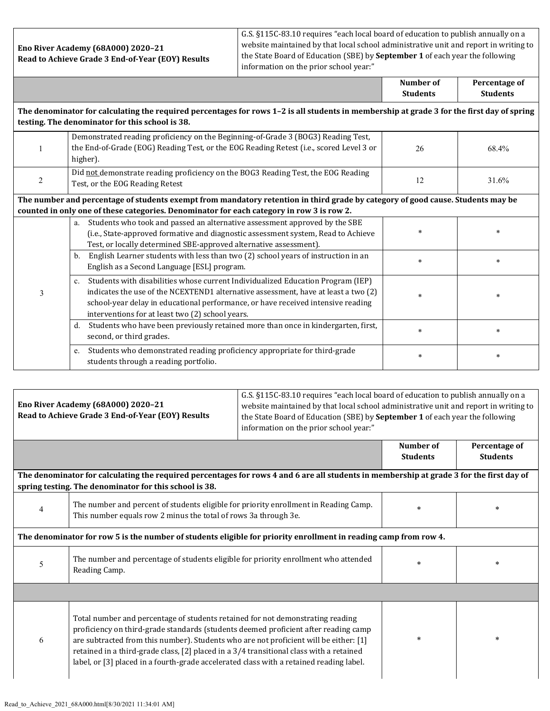**Eno River Academy (68A000) 2020–21 Read to Achieve Grade 3 End-of-Year (EOY) Results** G.S. §115C-83.10 requires "each local board of education to publish annually on a website maintained by that local school administrative unit and report in writing to the State Board of Education (SBE) by **September 1** of each year the following information on the prior school year:"

|                                                                                                                                                                                                                              |                                                                                                                                                                                                                                                                                                                              | Number of<br><b>Students</b> | Percentage of<br><b>Students</b> |  |  |
|------------------------------------------------------------------------------------------------------------------------------------------------------------------------------------------------------------------------------|------------------------------------------------------------------------------------------------------------------------------------------------------------------------------------------------------------------------------------------------------------------------------------------------------------------------------|------------------------------|----------------------------------|--|--|
| The denominator for calculating the required percentages for rows 1-2 is all students in membership at grade 3 for the first day of spring<br>testing. The denominator for this school is 38.                                |                                                                                                                                                                                                                                                                                                                              |                              |                                  |  |  |
|                                                                                                                                                                                                                              | Demonstrated reading proficiency on the Beginning-of-Grade 3 (BOG3) Reading Test,<br>the End-of-Grade (EOG) Reading Test, or the EOG Reading Retest (i.e., scored Level 3 or<br>higher).                                                                                                                                     | 26                           | 68.4%                            |  |  |
| 2                                                                                                                                                                                                                            | Did not demonstrate reading proficiency on the BOG3 Reading Test, the EOG Reading<br>Test, or the EOG Reading Retest                                                                                                                                                                                                         | 12                           | 31.6%                            |  |  |
| The number and percentage of students exempt from mandatory retention in third grade by category of good cause. Students may be<br>counted in only one of these categories. Denominator for each category in row 3 is row 2. |                                                                                                                                                                                                                                                                                                                              |                              |                                  |  |  |
| 3                                                                                                                                                                                                                            | Students who took and passed an alternative assessment approved by the SBE<br>a.<br>(i.e., State-approved formative and diagnostic assessment system, Read to Achieve<br>Test, or locally determined SBE-approved alternative assessment).                                                                                   | $\ast$                       | $\ast$                           |  |  |
|                                                                                                                                                                                                                              | English Learner students with less than two (2) school years of instruction in an<br>$\mathbf{b}$ .<br>English as a Second Language [ESL] program.                                                                                                                                                                           | $\ast$                       | $\star$                          |  |  |
|                                                                                                                                                                                                                              | Students with disabilities whose current Individualized Education Program (IEP)<br>$c_{\cdot}$<br>indicates the use of the NCEXTEND1 alternative assessment, have at least a two (2)<br>school-year delay in educational performance, or have received intensive reading<br>interventions for at least two (2) school years. | $\ast$                       | $\ast$                           |  |  |
|                                                                                                                                                                                                                              | Students who have been previously retained more than once in kindergarten, first,<br>$d_{\cdot}$<br>second, or third grades.                                                                                                                                                                                                 | $\ast$                       | $\ast$                           |  |  |
|                                                                                                                                                                                                                              | Students who demonstrated reading proficiency appropriate for third-grade<br>e.<br>students through a reading portfolio.                                                                                                                                                                                                     | $\ast$                       | $\star$                          |  |  |

| Eno River Academy (68A000) 2020-21<br>Read to Achieve Grade 3 End-of-Year (EOY) Results                                                                                                            |                                                                                                                                                                                                                                                                                                                                                                                                                                                      | G.S. §115C-83.10 requires "each local board of education to publish annually on a<br>website maintained by that local school administrative unit and report in writing to<br>the State Board of Education (SBE) by September 1 of each year the following<br>information on the prior school year:" |                              |                                  |  |
|----------------------------------------------------------------------------------------------------------------------------------------------------------------------------------------------------|------------------------------------------------------------------------------------------------------------------------------------------------------------------------------------------------------------------------------------------------------------------------------------------------------------------------------------------------------------------------------------------------------------------------------------------------------|-----------------------------------------------------------------------------------------------------------------------------------------------------------------------------------------------------------------------------------------------------------------------------------------------------|------------------------------|----------------------------------|--|
|                                                                                                                                                                                                    |                                                                                                                                                                                                                                                                                                                                                                                                                                                      |                                                                                                                                                                                                                                                                                                     | Number of<br><b>Students</b> | Percentage of<br><b>Students</b> |  |
| The denominator for calculating the required percentages for rows 4 and 6 are all students in membership at grade 3 for the first day of<br>spring testing. The denominator for this school is 38. |                                                                                                                                                                                                                                                                                                                                                                                                                                                      |                                                                                                                                                                                                                                                                                                     |                              |                                  |  |
| 4                                                                                                                                                                                                  | The number and percent of students eligible for priority enrollment in Reading Camp.<br>This number equals row 2 minus the total of rows 3a through 3e.                                                                                                                                                                                                                                                                                              |                                                                                                                                                                                                                                                                                                     | $\star$                      | $\ast$                           |  |
| The denominator for row 5 is the number of students eligible for priority enrollment in reading camp from row 4.                                                                                   |                                                                                                                                                                                                                                                                                                                                                                                                                                                      |                                                                                                                                                                                                                                                                                                     |                              |                                  |  |
| 5                                                                                                                                                                                                  | The number and percentage of students eligible for priority enrollment who attended<br>Reading Camp.                                                                                                                                                                                                                                                                                                                                                 |                                                                                                                                                                                                                                                                                                     | $\star$                      | $\ast$                           |  |
|                                                                                                                                                                                                    |                                                                                                                                                                                                                                                                                                                                                                                                                                                      |                                                                                                                                                                                                                                                                                                     |                              |                                  |  |
| 6                                                                                                                                                                                                  | Total number and percentage of students retained for not demonstrating reading<br>proficiency on third-grade standards (students deemed proficient after reading camp<br>are subtracted from this number). Students who are not proficient will be either: [1]<br>retained in a third-grade class, [2] placed in a 3/4 transitional class with a retained<br>label, or [3] placed in a fourth-grade accelerated class with a retained reading label. |                                                                                                                                                                                                                                                                                                     | $\star$                      | $\ast$                           |  |